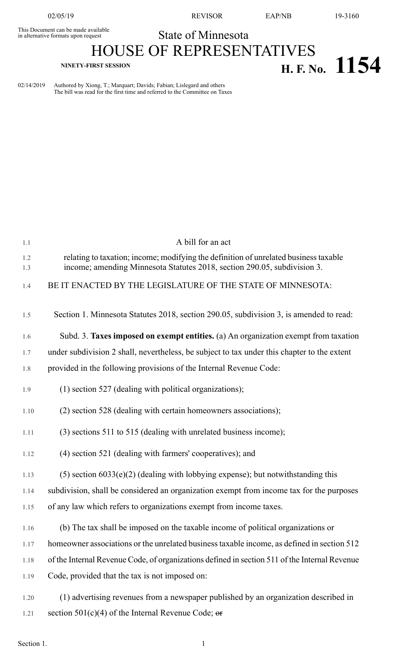This Document can be made available<br>in alternative formats upon request

02/05/19 REVISOR EAP/NB 19-3160

## State of Minnesota HOUSE OF REPRESENTATIVES **NINETY-FIRST SESSION H. F. No. 1154**

02/14/2019 Authored by Xiong, T.; Marquart; Davids; Fabian; Lislegard and others The bill was read for the first time and referred to the Committee on Taxes

| 1.1  | A bill for an act                                                                             |
|------|-----------------------------------------------------------------------------------------------|
| 1.2  | relating to taxation; income; modifying the definition of unrelated business taxable          |
| 1.3  | income; amending Minnesota Statutes 2018, section 290.05, subdivision 3.                      |
| 1.4  | BE IT ENACTED BY THE LEGISLATURE OF THE STATE OF MINNESOTA:                                   |
|      |                                                                                               |
| 1.5  | Section 1. Minnesota Statutes 2018, section 290.05, subdivision 3, is amended to read:        |
| 1.6  | Subd. 3. Taxes imposed on exempt entities. (a) An organization exempt from taxation           |
| 1.7  | under subdivision 2 shall, nevertheless, be subject to tax under this chapter to the extent   |
| 1.8  | provided in the following provisions of the Internal Revenue Code:                            |
| 1.9  | $(1)$ section 527 (dealing with political organizations);                                     |
|      |                                                                                               |
| 1.10 | (2) section 528 (dealing with certain homeowners associations);                               |
| 1.11 | (3) sections 511 to 515 (dealing with unrelated business income);                             |
| 1.12 | (4) section 521 (dealing with farmers' cooperatives); and                                     |
| 1.13 | $(5)$ section 6033 $(e)(2)$ (dealing with lobbying expense); but notwithstanding this         |
| 1.14 | subdivision, shall be considered an organization exempt from income tax for the purposes      |
|      |                                                                                               |
| 1.15 | of any law which refers to organizations exempt from income taxes.                            |
| 1.16 | (b) The tax shall be imposed on the taxable income of political organizations or              |
| 1.17 | homeowner associations or the unrelated business taxable income, as defined in section 512    |
| 1.18 | of the Internal Revenue Code, of organizations defined in section 511 of the Internal Revenue |
| 1.19 | Code, provided that the tax is not imposed on:                                                |
|      |                                                                                               |
| 1.20 | (1) advertising revenues from a newspaper published by an organization described in           |
| 1.21 | section $501(c)(4)$ of the Internal Revenue Code; or                                          |